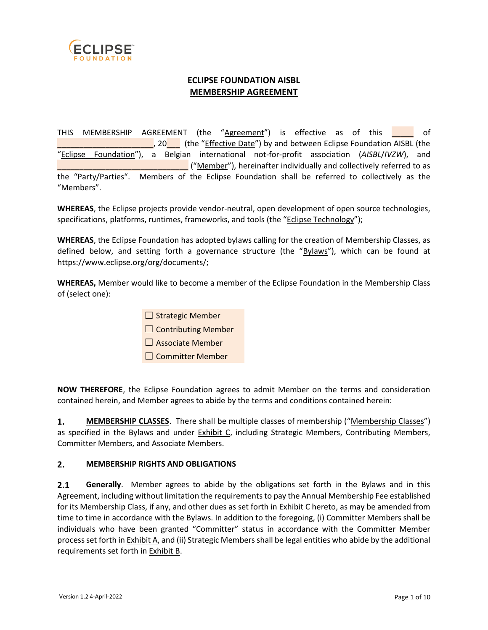

## **ECLIPSE FOUNDATION AISBL MEMBERSHIP AGREEMENT**

THIS MEMBERSHIP AGREEMENT (the "Agreement") is effective as of this \_\_\_\_\_ of \_\_\_\_\_\_\_\_\_\_\_\_\_\_\_\_\_\_\_\_\_\_, 20\_\_\_ (the "Effective Date") by and between Eclipse Foundation AISBL (the "Eclipse Foundation"), a Belgian international not-for-profit association (*AISBL*/*IVZW*), and \_\_\_\_\_\_\_\_\_\_\_\_\_\_\_\_\_\_\_\_\_\_\_\_\_\_\_\_\_\_ ("Member"), hereinafter individually and collectively referred to as the "Party/Parties". Members of the Eclipse Foundation shall be referred to collectively as the "Members".

**WHEREAS**, the Eclipse projects provide vendor-neutral, open development of open source technologies, specifications, platforms, runtimes, frameworks, and tools (the "Eclipse Technology");

**WHEREAS**, the Eclipse Foundation has adopted bylaws calling for the creation of Membership Classes, as defined below, and setting forth a governance structure (the "Bylaws"), which can be found at https://www.eclipse.org/org/documents/;

**WHEREAS,** Member would like to become a member of the Eclipse Foundation in the Membership Class of (select one):

- $\Box$  Strategic Member
- $\Box$  Contributing Member
- □ Associate Member
- ☐ Committer Member

**NOW THEREFORE**, the Eclipse Foundation agrees to admit Member on the terms and consideration contained herein, and Member agrees to abide by the terms and conditions contained herein:

**1. MEMBERSHIP CLASSES**. There shall be multiple classes of membership ("Membership Classes") as specified in the Bylaws and under Exhibit C, including Strategic Members, Contributing Members, Committer Members, and Associate Members.

#### **2. MEMBERSHIP RIGHTS AND OBLIGATIONS**

**2.1 Generally**. Member agrees to abide by the obligations set forth in the Bylaws and in this Agreement, including without limitation the requirements to pay the Annual Membership Fee established for its Membership Class, if any, and other dues as set forth in Exhibit C hereto, as may be amended from time to time in accordance with the Bylaws. In addition to the foregoing, (i) Committer Members shall be individuals who have been granted "Committer" status in accordance with the Committer Member process set forth in Exhibit A, and (ii) Strategic Members shall be legal entities who abide by the additional requirements set forth in Exhibit B.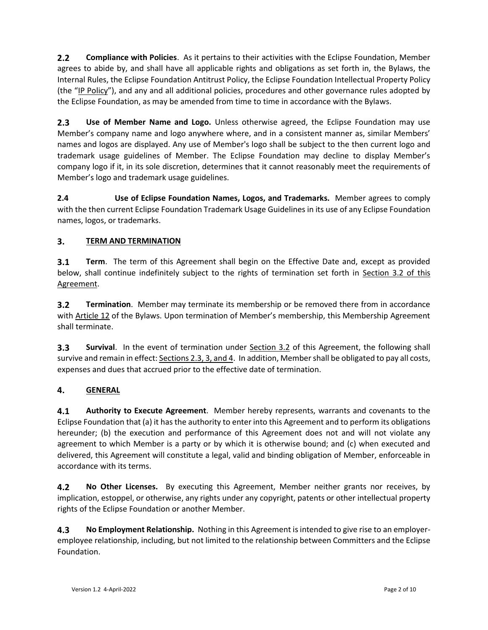**2.2 Compliance with Policies**. As it pertains to their activities with the Eclipse Foundation, Member agrees to abide by, and shall have all applicable rights and obligations as set forth in, the Bylaws, the Internal Rules, the Eclipse Foundation Antitrust Policy, the Eclipse Foundation Intellectual Property Policy (the "IP Policy"), and any and all additional policies, procedures and other governance rules adopted by the Eclipse Foundation, as may be amended from time to time in accordance with the Bylaws.

**2.3 Use of Member Name and Logo.** Unless otherwise agreed, the Eclipse Foundation may use Member's company name and logo anywhere where, and in a consistent manner as, similar Members' names and logos are displayed. Any use of Member's logo shall be subject to the then current logo and trademark usage guidelines of Member. The Eclipse Foundation may decline to display Member's company logo if it, in its sole discretion, determines that it cannot reasonably meet the requirements of Member's logo and trademark usage guidelines.

**2.4 Use of Eclipse Foundation Names, Logos, and Trademarks.** Member agrees to comply with the then current Eclipse Foundation Trademark Usage Guidelines in its use of any Eclipse Foundation names, logos, or trademarks.

# **3. TERM AND TERMINATION**

**3.1 Term**. The term of this Agreement shall begin on the Effective Date and, except as provided below, shall continue indefinitely subject to the rights of termination set forth in Section 3.2 of this Agreement.

**3.2 Termination**. Member may terminate its membership or be removed there from in accordance with Article 12 of the Bylaws. Upon termination of Member's membership, this Membership Agreement shall terminate.

**3.3 Survival**. In the event of termination under **Section 3.2** of this Agreement, the following shall survive and remain in effect: Sections 2.3, 3, and 4. In addition, Member shall be obligated to pay all costs, expenses and dues that accrued prior to the effective date of termination.

## **4. GENERAL**

**4.1 Authority to Execute Agreement**. Member hereby represents, warrants and covenants to the Eclipse Foundation that (a) it has the authority to enter into this Agreement and to perform its obligations hereunder; (b) the execution and performance of this Agreement does not and will not violate any agreement to which Member is a party or by which it is otherwise bound; and (c) when executed and delivered, this Agreement will constitute a legal, valid and binding obligation of Member, enforceable in accordance with its terms.

**4.2 No Other Licenses.** By executing this Agreement, Member neither grants nor receives, by implication, estoppel, or otherwise, any rights under any copyright, patents or other intellectual property rights of the Eclipse Foundation or another Member.

**4.3 No Employment Relationship.** Nothing in this Agreement is intended to give rise to an employeremployee relationship, including, but not limited to the relationship between Committers and the Eclipse Foundation.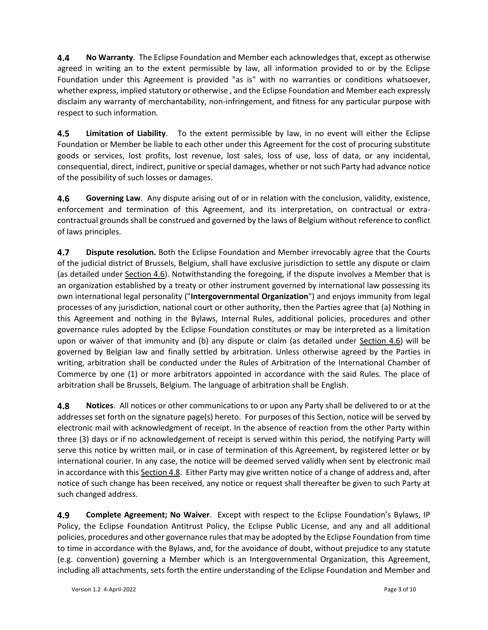**4.4 No Warranty**. The Eclipse Foundation and Member each acknowledges that, except as otherwise agreed in writing an to the extent permissible by law, all information provided to or by the Eclipse Foundation under this Agreement is provided "as is" with no warranties or conditions whatsoever, whether express, implied statutory or otherwise , and the Eclipse Foundation and Member each expressly disclaim any warranty of merchantability, non-infringement, and fitness for any particular purpose with respect to such information.

**4.5 Limitation of Liability**. To the extent permissible by law, in no event will either the Eclipse Foundation or Member be liable to each other under this Agreement for the cost of procuring substitute goods or services, lost profits, lost revenue, lost sales, loss of use, loss of data, or any incidental, consequential, direct, indirect, punitive or special damages, whether or not such Party had advance notice of the possibility of such losses or damages.

**4.6 Governing Law**. Any dispute arising out of or in relation with the conclusion, validity, existence, enforcement and termination of this Agreement, and its interpretation, on contractual or extracontractual grounds shall be construed and governed by the laws of Belgium without reference to conflict of laws principles.

**4.7 Dispute resolution.** Both the Eclipse Foundation and Member irrevocably agree that the Courts of the judicial district of Brussels, Belgium, shall have exclusive jurisdiction to settle any dispute or claim (as detailed under Section 4.6). Notwithstanding the foregoing, if the dispute involves a Member that is an organization established by a treaty or other instrument governed by international law possessing its own international legal personality ("**Intergovernmental Organization**") and enjoys immunity from legal processes of any jurisdiction, national court or other authority, then the Parties agree that (a) Nothing in this Agreement and nothing in the Bylaws, Internal Rules, additional policies, procedures and other governance rules adopted by the Eclipse Foundation constitutes or may be interpreted as a limitation upon or waiver of that immunity and (b) any dispute or claim (as detailed under Section 4.6) will be governed by Belgian law and finally settled by arbitration. Unless otherwise agreed by the Parties in writing, arbitration shall be conducted under the Rules of Arbitration of the International Chamber of Commerce by one (1) or more arbitrators appointed in accordance with the said Rules. The place of arbitration shall be Brussels, Belgium. The language of arbitration shall be English.

**4.8 Notices**. All notices or other communications to or upon any Party shall be delivered to or at the addresses set forth on the signature page(s) hereto. For purposes of this Section, notice will be served by electronic mail with acknowledgment of receipt. In the absence of reaction from the other Party within three (3) days or if no acknowledgement of receipt is served within this period, the notifying Party will serve this notice by written mail, or in case of termination of this Agreement, by registered letter or by international courier. In any case, the notice will be deemed served validly when sent by electronic mail in accordance with this Section 4.8. Either Party may give written notice of a change of address and, after notice of such change has been received, any notice or request shall thereafter be given to such Party at such changed address.

**4.9 Complete Agreement; No Waiver**. Except with respect to the Eclipse Foundation's Bylaws, IP Policy, the Eclipse Foundation Antitrust Policy, the Eclipse Public License, and any and all additional policies, procedures and other governance rules that may be adopted by the Eclipse Foundation from time to time in accordance with the Bylaws, and, for the avoidance of doubt, without prejudice to any statute (e.g. convention) governing a Member which is an Intergovernmental Organization, this Agreement, including all attachments, sets forth the entire understanding of the Eclipse Foundation and Member and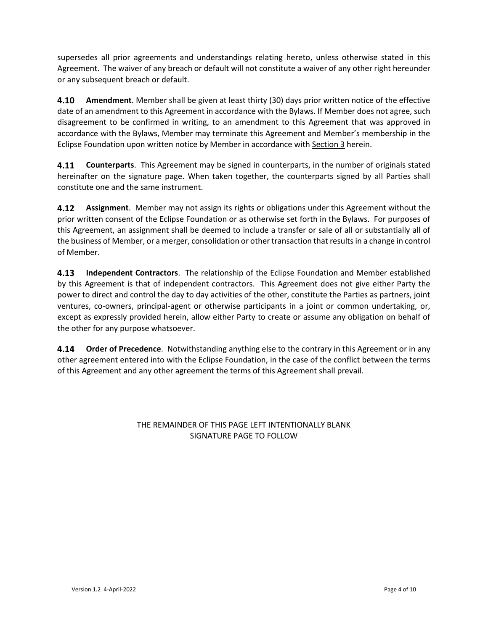supersedes all prior agreements and understandings relating hereto, unless otherwise stated in this Agreement. The waiver of any breach or default will not constitute a waiver of any other right hereunder or any subsequent breach or default.

**4.10 Amendment**. Member shall be given at least thirty (30) days prior written notice of the effective date of an amendment to this Agreement in accordance with the Bylaws. If Member does not agree, such disagreement to be confirmed in writing, to an amendment to this Agreement that was approved in accordance with the Bylaws, Member may terminate this Agreement and Member's membership in the Eclipse Foundation upon written notice by Member in accordance with Section 3 herein.

**4.11 Counterparts**. This Agreement may be signed in counterparts, in the number of originals stated hereinafter on the signature page. When taken together, the counterparts signed by all Parties shall constitute one and the same instrument.

**4.12 Assignment**. Member may not assign its rights or obligations under this Agreement without the prior written consent of the Eclipse Foundation or as otherwise set forth in the Bylaws. For purposes of this Agreement, an assignment shall be deemed to include a transfer or sale of all or substantially all of the business of Member, or a merger, consolidation or other transaction that results in a change in control of Member.

**4.13 Independent Contractors**. The relationship of the Eclipse Foundation and Member established by this Agreement is that of independent contractors. This Agreement does not give either Party the power to direct and control the day to day activities of the other, constitute the Parties as partners, joint ventures, co-owners, principal-agent or otherwise participants in a joint or common undertaking, or, except as expressly provided herein, allow either Party to create or assume any obligation on behalf of the other for any purpose whatsoever.

**4.14 Order of Precedence**. Notwithstanding anything else to the contrary in this Agreement or in any other agreement entered into with the Eclipse Foundation, in the case of the conflict between the terms of this Agreement and any other agreement the terms of this Agreement shall prevail.

> THE REMAINDER OF THIS PAGE LEFT INTENTIONALLY BLANK SIGNATURE PAGE TO FOLLOW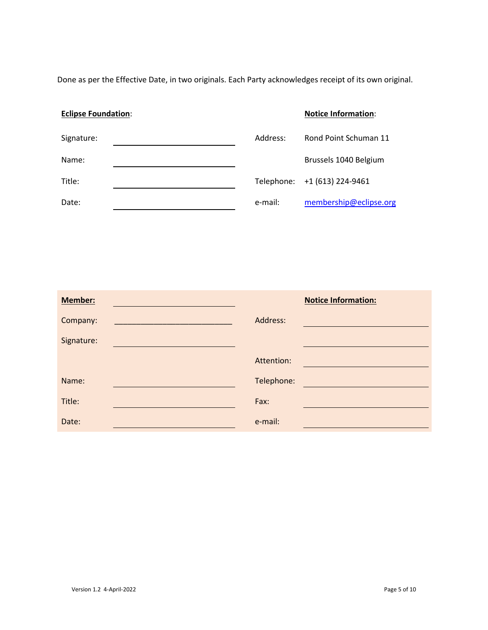Done as per the Effective Date, in two originals. Each Party acknowledges receipt of its own original.

# **Eclipse Foundation: Notice Information: Notice Information:** Signature: Contract Material Schuman 11 Address: Address: Rond Point Schuman 11 Name: Name: **Brussels 1040 Belgium** Title: The Telephone: +1 (613) 224-9461 Date: e-mail: [membership@eclipse.org](mailto:membership@eclipse.org)

| <b>Member:</b> |                                                                  |            | <b>Notice Information:</b> |
|----------------|------------------------------------------------------------------|------------|----------------------------|
| Company:       | <u> 1989 - Johann Stein, mars an t-Amerikaansk kommunister (</u> | Address:   |                            |
| Signature:     |                                                                  |            |                            |
|                |                                                                  | Attention: |                            |
| Name:          |                                                                  | Telephone: |                            |
| Title:         |                                                                  | Fax:       |                            |
| Date:          |                                                                  | e-mail:    |                            |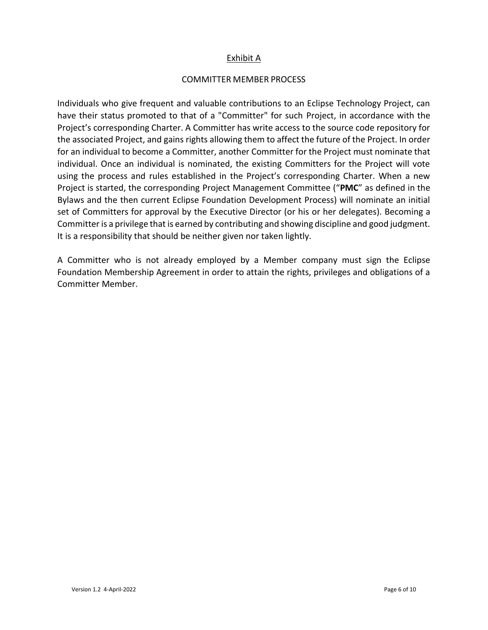#### Exhibit A

#### COMMITTER MEMBER PROCESS

Individuals who give frequent and valuable contributions to an Eclipse Technology Project, can have their status promoted to that of a "Committer" for such Project, in accordance with the Project's corresponding Charter. A Committer has write access to the source code repository for the associated Project, and gains rights allowing them to affect the future of the Project. In order for an individual to become a Committer, another Committer for the Project must nominate that individual. Once an individual is nominated, the existing Committers for the Project will vote using the process and rules established in the Project's corresponding Charter. When a new Project is started, the corresponding Project Management Committee ("**PMC**" as defined in the Bylaws and the then current Eclipse Foundation Development Process) will nominate an initial set of Committers for approval by the Executive Director (or his or her delegates). Becoming a Committer is a privilege that is earned by contributing and showing discipline and good judgment. It is a responsibility that should be neither given nor taken lightly.

A Committer who is not already employed by a Member company must sign the Eclipse Foundation Membership Agreement in order to attain the rights, privileges and obligations of a Committer Member.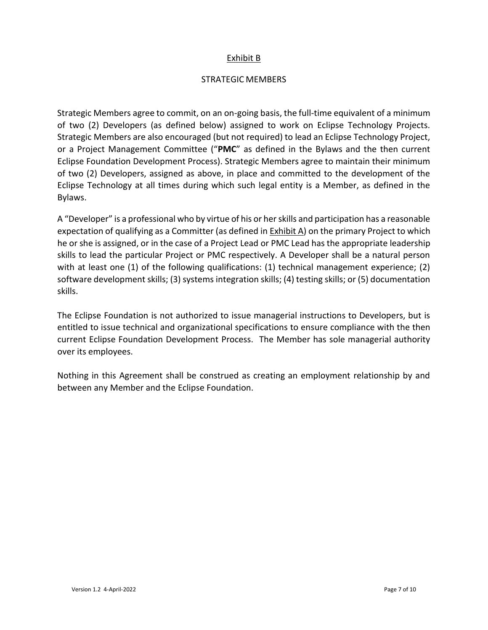#### Exhibit B

#### STRATEGIC MEMBERS

Strategic Members agree to commit, on an on-going basis, the full-time equivalent of a minimum of two (2) Developers (as defined below) assigned to work on Eclipse Technology Projects. Strategic Members are also encouraged (but not required) to lead an Eclipse Technology Project, or a Project Management Committee ("**PMC**" as defined in the Bylaws and the then current Eclipse Foundation Development Process). Strategic Members agree to maintain their minimum of two (2) Developers, assigned as above, in place and committed to the development of the Eclipse Technology at all times during which such legal entity is a Member, as defined in the Bylaws.

A "Developer" is a professional who by virtue of his or her skills and participation has a reasonable expectation of qualifying as a Committer (as defined in Exhibit A) on the primary Project to which he or she is assigned, or in the case of a Project Lead or PMC Lead has the appropriate leadership skills to lead the particular Project or PMC respectively. A Developer shall be a natural person with at least one (1) of the following qualifications: (1) technical management experience; (2) software development skills; (3) systems integration skills; (4) testing skills; or (5) documentation skills.

The Eclipse Foundation is not authorized to issue managerial instructions to Developers, but is entitled to issue technical and organizational specifications to ensure compliance with the then current Eclipse Foundation Development Process. The Member has sole managerial authority over its employees.

Nothing in this Agreement shall be construed as creating an employment relationship by and between any Member and the Eclipse Foundation.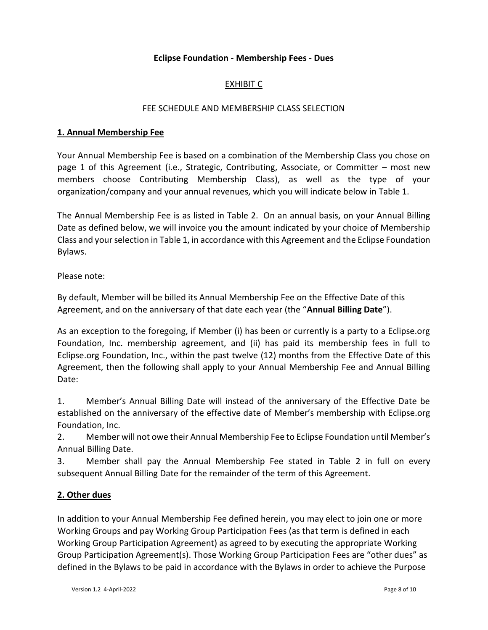#### **Eclipse Foundation - Membership Fees - Dues**

## EXHIBIT C

#### FEE SCHEDULE AND MEMBERSHIP CLASS SELECTION

#### **1. Annual Membership Fee**

Your Annual Membership Fee is based on a combination of the Membership Class you chose on page 1 of this Agreement (i.e., Strategic, Contributing, Associate, or Committer – most new members choose Contributing Membership Class), as well as the type of your organization/company and your annual revenues, which you will indicate below in Table 1.

The Annual Membership Fee is as listed in Table 2. On an annual basis, on your Annual Billing Date as defined below, we will invoice you the amount indicated by your choice of Membership Class and your selection in Table 1, in accordance with this Agreement and the Eclipse Foundation Bylaws.

Please note:

By default, Member will be billed its Annual Membership Fee on the Effective Date of this Agreement, and on the anniversary of that date each year (the "**Annual Billing Date**").

As an exception to the foregoing, if Member (i) has been or currently is a party to a Eclipse.org Foundation, Inc. membership agreement, and (ii) has paid its membership fees in full to Eclipse.org Foundation, Inc., within the past twelve (12) months from the Effective Date of this Agreement, then the following shall apply to your Annual Membership Fee and Annual Billing Date:

1. Member's Annual Billing Date will instead of the anniversary of the Effective Date be established on the anniversary of the effective date of Member's membership with Eclipse.org Foundation, Inc.

2. Member will not owe their Annual Membership Fee to Eclipse Foundation until Member's Annual Billing Date.

3. Member shall pay the Annual Membership Fee stated in Table 2 in full on every subsequent Annual Billing Date for the remainder of the term of this Agreement.

## **2. Other dues**

In addition to your Annual Membership Fee defined herein, you may elect to join one or more Working Groups and pay Working Group Participation Fees (as that term is defined in each Working Group Participation Agreement) as agreed to by executing the appropriate Working Group Participation Agreement(s). Those Working Group Participation Fees are "other dues" as defined in the Bylaws to be paid in accordance with the Bylaws in order to achieve the Purpose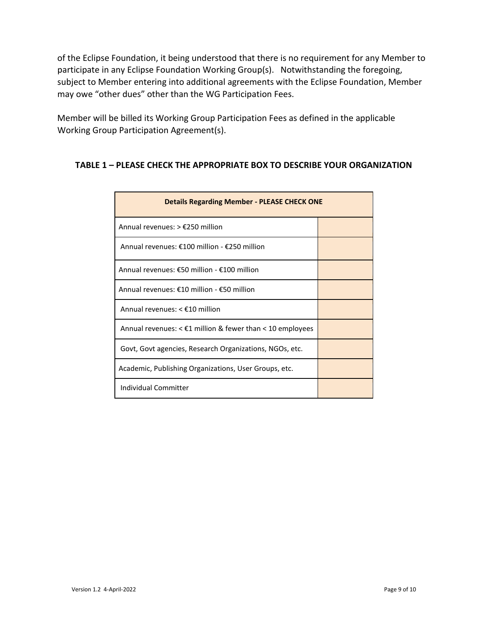of the Eclipse Foundation, it being understood that there is no requirement for any Member to participate in any Eclipse Foundation Working Group(s). Notwithstanding the foregoing, subject to Member entering into additional agreements with the Eclipse Foundation, Member may owe "other dues" other than the WG Participation Fees.

Member will be billed its Working Group Participation Fees as defined in the applicable Working Group Participation Agreement(s).

## **TABLE 1 – PLEASE CHECK THE APPROPRIATE BOX TO DESCRIBE YOUR ORGANIZATION**

| <b>Details Regarding Member - PLEASE CHECK ONE</b>                  |  |  |  |  |
|---------------------------------------------------------------------|--|--|--|--|
| Annual revenues: $> \text{\textsterling}250$ million                |  |  |  |  |
| Annual revenues: €100 million - €250 million                        |  |  |  |  |
| Annual revenues: €50 million - €100 million                         |  |  |  |  |
| Annual revenues: €10 million - €50 million                          |  |  |  |  |
| Annual revenues: $<$ £10 million                                    |  |  |  |  |
| Annual revenues: $\leq$ £1 million & fewer than $\leq$ 10 employees |  |  |  |  |
| Govt, Govt agencies, Research Organizations, NGOs, etc.             |  |  |  |  |
| Academic, Publishing Organizations, User Groups, etc.               |  |  |  |  |
| Individual Committer                                                |  |  |  |  |